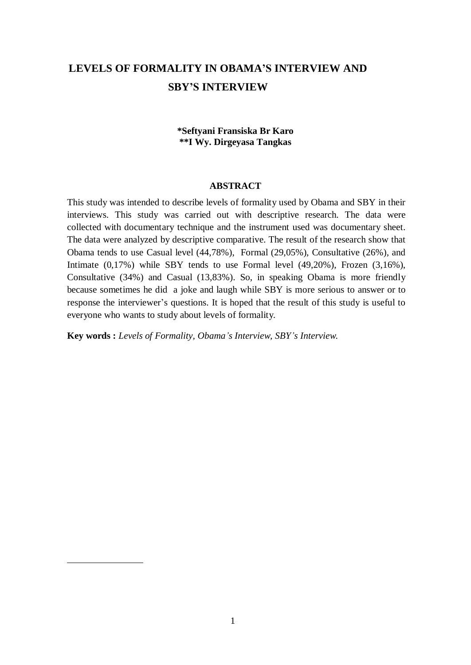# **LEVELS OF FORMALITY IN OBAMA'S INTERVIEW AND SBY'S INTERVIEW**

# **\*Seftyani Fransiska Br Karo \*\*I Wy. Dirgeyasa Tangkas**

#### **ABSTRACT**

This study was intended to describe levels of formality used by Obama and SBY in their interviews. This study was carried out with descriptive research. The data were collected with documentary technique and the instrument used was documentary sheet. The data were analyzed by descriptive comparative. The result of the research show that Obama tends to use Casual level (44,78%), Formal (29,05%), Consultative (26%), and Intimate (0,17%) while SBY tends to use Formal level (49,20%), Frozen (3,16%), Consultative (34%) and Casual (13,83%). So, in speaking Obama is more friendly because sometimes he did a joke and laugh while SBY is more serious to answer or to response the interviewer's questions. It is hoped that the result of this study is useful to everyone who wants to study about levels of formality.

**Key words :** *Levels of Formality, Obama's Interview, SBY's Interview.*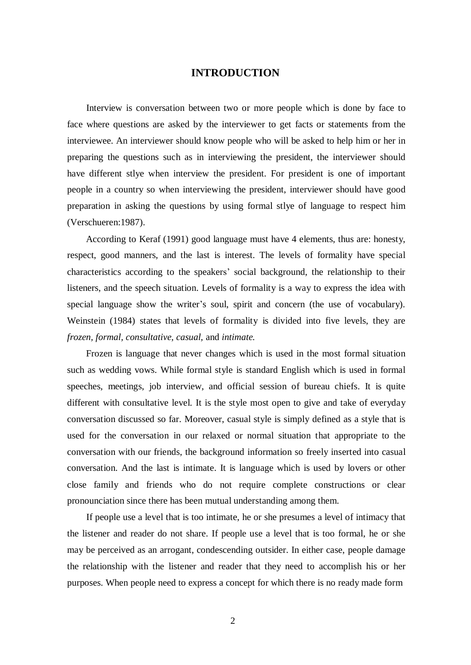### **INTRODUCTION**

Interview is conversation between two or more people which is done by face to face where questions are asked by the interviewer to get facts or statements from the interviewee. An interviewer should know people who will be asked to help him or her in preparing the questions such as in interviewing the president, the interviewer should have different stlye when interview the president. For president is one of important people in a country so when interviewing the president, interviewer should have good preparation in asking the questions by using formal stlye of language to respect him (Verschueren:1987).

According to Keraf (1991) good language must have 4 elements, thus are: honesty, respect, good manners, and the last is interest. The levels of formality have special characteristics according to the speakers" social background, the relationship to their listeners, and the speech situation. Levels of formality is a way to express the idea with special language show the writer's soul, spirit and concern (the use of vocabulary). Weinstein (1984) states that levels of formality is divided into five levels, they are *frozen, formal, consultative, casual,* and *intimate.*

Frozen is language that never changes which is used in the most formal situation such as wedding vows. While formal style is standard English which is used in formal speeches, meetings, job interview, and official session of bureau chiefs. It is quite different with consultative level. It is the style most open to give and take of everyday conversation discussed so far. Moreover, casual style is simply defined as a style that is used for the conversation in our relaxed or normal situation that appropriate to the conversation with our friends, the background information so freely inserted into casual conversation. And the last is intimate. It is language which is used by lovers or other close family and friends who do not require complete constructions or clear pronounciation since there has been mutual understanding among them.

If people use a level that is too intimate, he or she presumes a level of intimacy that the listener and reader do not share. If people use a level that is too formal, he or she may be perceived as an arrogant, condescending outsider. In either case, people damage the relationship with the listener and reader that they need to accomplish his or her purposes. When people need to express a concept for which there is no ready made form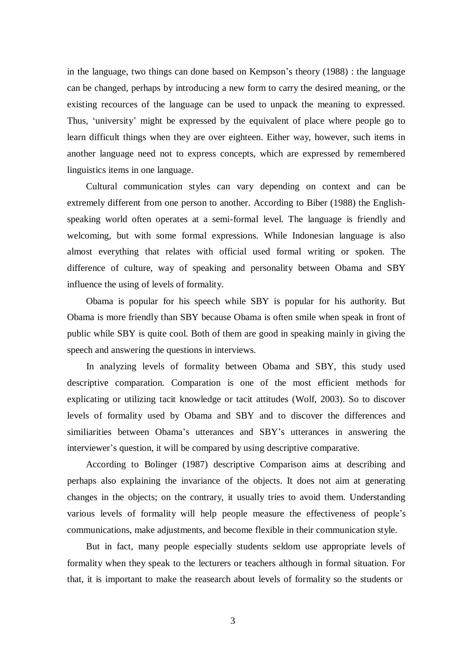in the language, two things can done based on Kempson"s theory (1988) : the language can be changed, perhaps by introducing a new form to carry the desired meaning, or the existing recources of the language can be used to unpack the meaning to expressed. Thus, 'university' might be expressed by the equivalent of place where people go to learn difficult things when they are over eighteen. Either way, however, such items in another language need not to express concepts, which are expressed by remembered linguistics items in one language.

Cultural communication styles can vary depending on context and can be extremely different from one person to another. According to Biber (1988) the Englishspeaking world often operates at a semi-formal level. The language is friendly and welcoming, but with some formal expressions. While Indonesian language is also almost everything that relates with official used formal writing or spoken. The difference of culture, way of speaking and personality between Obama and SBY influence the using of levels of formality.

Obama is popular for his speech while SBY is popular for his authority. But Obama is more friendly than SBY because Obama is often smile when speak in front of public while SBY is quite cool. Both of them are good in speaking mainly in giving the speech and answering the questions in interviews.

In analyzing levels of formality between Obama and SBY, this study used descriptive comparation. Comparation is one of the most efficient methods for explicating or utilizing tacit knowledge or tacit attitudes (Wolf, 2003). So to discover levels of formality used by Obama and SBY and to discover the differences and similiarities between Obama"s utterances and SBY"s utterances in answering the interviewer's question, it will be compared by using descriptive comparative.

According to Bolinger (1987) descriptive Comparison aims at describing and perhaps also explaining the invariance of the objects. It does not aim at generating changes in the objects; on the contrary, it usually tries to avoid them. Understanding various levels of formality will help people measure the effectiveness of people"s communications, make adjustments, and become flexible in their communication style.

But in fact, many people especially students seldom use appropriate levels of formality when they speak to the lecturers or teachers although in formal situation. For that, it is important to make the reasearch about levels of formality so the students or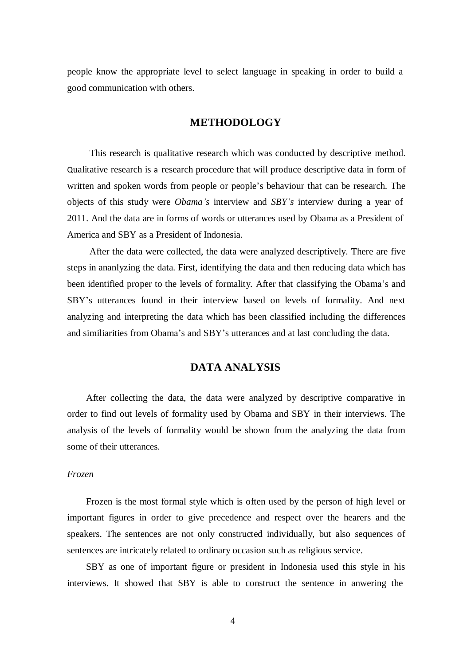people know the appropriate level to select language in speaking in order to build a good communication with others.

# **METHODOLOGY**

This research is qualitative research which was conducted by descriptive method. Qualitative research is a research procedure that will produce descriptive data in form of written and spoken words from people or people"s behaviour that can be research. The objects of this study were *Obama's* interview and *SBY's* interview during a year of 2011. And the data are in forms of words or utterances used by Obama as a President of America and SBY as a President of Indonesia.

After the data were collected, the data were analyzed descriptively. There are five steps in ananlyzing the data. First, identifying the data and then reducing data which has been identified proper to the levels of formality. After that classifying the Obama's and SBY"s utterances found in their interview based on levels of formality. And next analyzing and interpreting the data which has been classified including the differences and similiarities from Obama"s and SBY"s utterances and at last concluding the data.

# **DATA ANALYSIS**

After collecting the data, the data were analyzed by descriptive comparative in order to find out levels of formality used by Obama and SBY in their interviews. The analysis of the levels of formality would be shown from the analyzing the data from some of their utterances.

#### *Frozen*

Frozen is the most formal style which is often used by the person of high level or important figures in order to give precedence and respect over the hearers and the speakers. The sentences are not only constructed individually, but also sequences of sentences are intricately related to ordinary occasion such as religious service.

SBY as one of important figure or president in Indonesia used this style in his interviews. It showed that SBY is able to construct the sentence in anwering the

4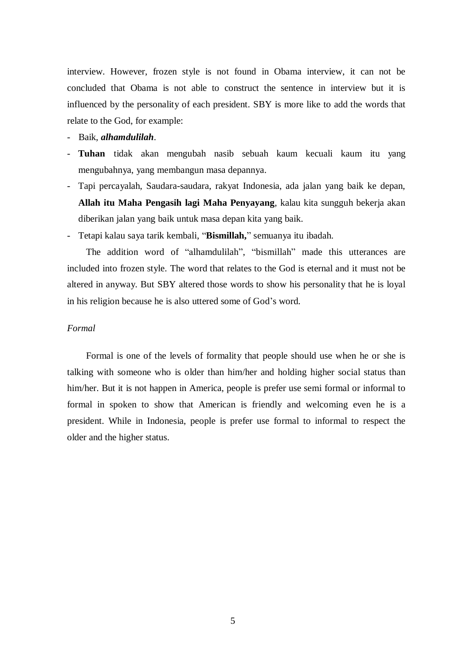interview. However, frozen style is not found in Obama interview, it can not be concluded that Obama is not able to construct the sentence in interview but it is influenced by the personality of each president. SBY is more like to add the words that relate to the God, for example:

#### - Baik, *alhamdulilah*.

- **Tuhan** tidak akan mengubah nasib sebuah kaum kecuali kaum itu yang mengubahnya, yang membangun masa depannya.
- Tapi percayalah, Saudara-saudara, rakyat Indonesia, ada jalan yang baik ke depan, **Allah itu Maha Pengasih lagi Maha Penyayang**, kalau kita sungguh bekerja akan diberikan jalan yang baik untuk masa depan kita yang baik.
- Tetapi kalau saya tarik kembali, "**Bismillah,**" semuanya itu ibadah.

The addition word of "alhamdulilah", "bismillah" made this utterances are included into frozen style. The word that relates to the God is eternal and it must not be altered in anyway. But SBY altered those words to show his personality that he is loyal in his religion because he is also uttered some of God"s word.

#### *Formal*

Formal is one of the levels of formality that people should use when he or she is talking with someone who is older than him/her and holding higher social status than him/her. But it is not happen in America, people is prefer use semi formal or informal to formal in spoken to show that American is friendly and welcoming even he is a president. While in Indonesia, people is prefer use formal to informal to respect the older and the higher status.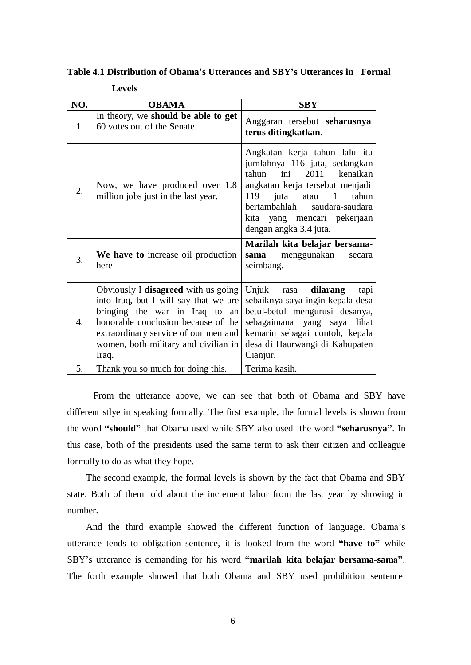**Table 4.1 Distribution of Obama's Utterances and SBY's Utterances in Formal**

**Levels**

| NO.              | <b>OBAMA</b>                                                                                                                                                                                                                                   | <b>SBY</b>                                                                                                                                                                                                                                              |
|------------------|------------------------------------------------------------------------------------------------------------------------------------------------------------------------------------------------------------------------------------------------|---------------------------------------------------------------------------------------------------------------------------------------------------------------------------------------------------------------------------------------------------------|
| 1.               | In theory, we should be able to get<br>60 votes out of the Senate.                                                                                                                                                                             | Anggaran tersebut seharusnya<br>terus ditingkatkan.                                                                                                                                                                                                     |
| 2.               | Now, we have produced over 1.8<br>million jobs just in the last year.                                                                                                                                                                          | Angkatan kerja tahun lalu itu<br>jumlahnya 116 juta, sedangkan<br>2011 kenaikan<br>tahun ini<br>angkatan kerja tersebut menjadi<br>119<br>juta<br>atau 1 tahun<br>bertambahlah saudara-saudara<br>kita yang mencari pekerjaan<br>dengan angka 3,4 juta. |
| 3.               | We have to increase oil production<br>here                                                                                                                                                                                                     | Marilah kita belajar bersama-<br>sama menggunakan<br>secara<br>seimbang.                                                                                                                                                                                |
| $\overline{4}$ . | Obviously I disagreed with us going<br>into Iraq, but I will say that we are<br>bringing the war in Iraq to an<br>honorable conclusion because of the<br>extraordinary service of our men and<br>women, both military and civilian in<br>Iraq. | Unjuk rasa dilarang<br>tapi<br>sebaiknya saya ingin kepala desa<br>betul-betul mengurusi desanya,<br>sebagaimana yang saya lihat<br>kemarin sebagai contoh, kepala<br>desa di Haurwangi di Kabupaten<br>Cianjur.                                        |
| 5.               | Thank you so much for doing this.                                                                                                                                                                                                              | Terima kasih.                                                                                                                                                                                                                                           |

From the utterance above, we can see that both of Obama and SBY have different stlye in speaking formally. The first example, the formal levels is shown from the word **"should"** that Obama used while SBY also used the word **"seharusnya"**. In this case, both of the presidents used the same term to ask their citizen and colleague formally to do as what they hope.

The second example, the formal levels is shown by the fact that Obama and SBY state. Both of them told about the increment labor from the last year by showing in number.

And the third example showed the different function of language. Obama"s utterance tends to obligation sentence, it is looked from the word **"have to"** while SBY"s utterance is demanding for his word **"marilah kita belajar bersama-sama"**. The forth example showed that both Obama and SBY used prohibition sentence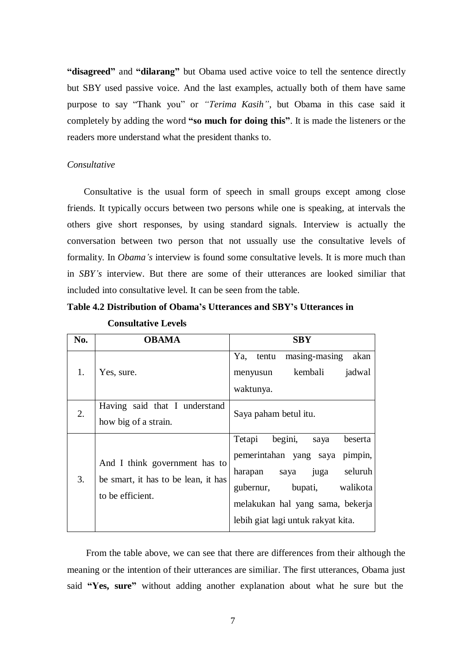**"disagreed"** and **"dilarang"** but Obama used active voice to tell the sentence directly but SBY used passive voice. And the last examples, actually both of them have same purpose to say "Thank you" or *"Terima Kasih"*, but Obama in this case said it completely by adding the word **"so much for doing this"**. It is made the listeners or the readers more understand what the president thanks to.

#### *Consultative*

Consultative is the usual form of speech in small groups except among close friends. It typically occurs between two persons while one is speaking, at intervals the others give short responses, by using standard signals. Interview is actually the conversation between two person that not ussually use the consultative levels of formality. In *Obama's* interview is found some consultative levels. It is more much than in *SBY's* interview. But there are some of their utterances are looked similiar that included into consultative level. It can be seen from the table.

# **Table 4.2 Distribution of Obama's Utterances and SBY's Utterances in**

| <b>Consultative Levels</b> |  |
|----------------------------|--|
|----------------------------|--|

| No. | <b>OBAMA</b>                                                                             | <b>SBY</b>                                                                                                                                                                                                           |  |  |
|-----|------------------------------------------------------------------------------------------|----------------------------------------------------------------------------------------------------------------------------------------------------------------------------------------------------------------------|--|--|
| 1.  | Yes, sure.                                                                               | masing-masing<br>Ya, tentu<br>akan<br>kembali<br>jadwal<br>menyusun<br>waktunya.                                                                                                                                     |  |  |
| 2.  | Having said that I understand<br>how big of a strain.                                    | Saya paham betul itu.                                                                                                                                                                                                |  |  |
| 3.  | And I think government has to<br>be smart, it has to be lean, it has<br>to be efficient. | Tetapi<br>begini,<br>beserta<br>saya<br>pemerintahan yang saya pimpin,<br>seluruh<br>harapan<br>saya juga<br>walikota<br>gubernur, bupati,<br>melakukan hal yang sama, bekerja<br>lebih giat lagi untuk rakyat kita. |  |  |

From the table above, we can see that there are differences from their although the meaning or the intention of their utterances are similiar. The first utterances, Obama just said **"Yes, sure"** without adding another explanation about what he sure but the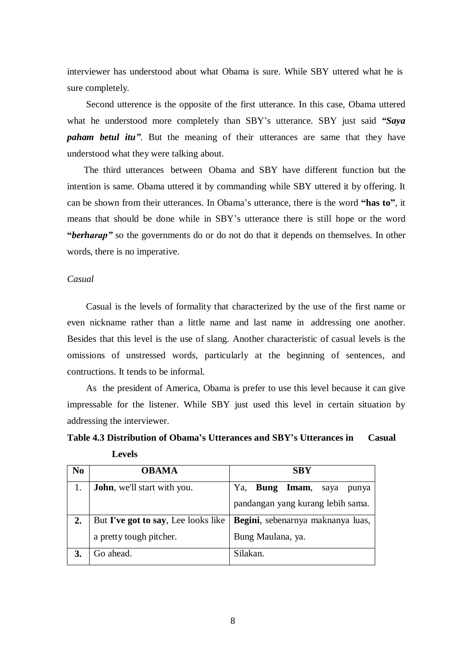interviewer has understood about what Obama is sure. While SBY uttered what he is sure completely.

Second utterence is the opposite of the first utterance. In this case, Obama uttered what he understood more completely than SBY"s utterance. SBY just said *"Saya paham betul itu"*. But the meaning of their utterances are same that they have understood what they were talking about.

The third utterances between Obama and SBY have different function but the intention is same. Obama uttered it by commanding while SBY uttered it by offering. It can be shown from their utterances. In Obama"s utterance, there is the word **"has to"**, it means that should be done while in SBY"s utterance there is still hope or the word **"berharap"** so the governments do or do not do that it depends on themselves. In other words, there is no imperative.

#### *Casual*

Casual is the levels of formality that characterized by the use of the first name or even nickname rather than a little name and last name in addressing one another. Besides that this level is the use of slang. Another characteristic of casual levels is the omissions of unstressed words, particularly at the beginning of sentences, and contructions. It tends to be informal.

As the president of America, Obama is prefer to use this level because it can give impressable for the listener. While SBY just used this level in certain situation by addressing the interviewer.

**Table 4.3 Distribution of Obama's Utterances and SBY's Utterances in Casual Levels**

| N <sub>0</sub> | <b>OBAMA</b>                        | <b>SBY</b>                         |  |  |
|----------------|-------------------------------------|------------------------------------|--|--|
|                | <b>John</b> , we'll start with you. | Bung Imam,<br>Ya,<br>saya<br>punya |  |  |
|                |                                     | pandangan yang kurang lebih sama.  |  |  |
|                | But I've got to say, Lee looks like | Begini, sebenarnya maknanya luas,  |  |  |
|                | a pretty tough pitcher.             | Bung Maulana, ya.                  |  |  |
|                | Go ahead.                           | Silakan.                           |  |  |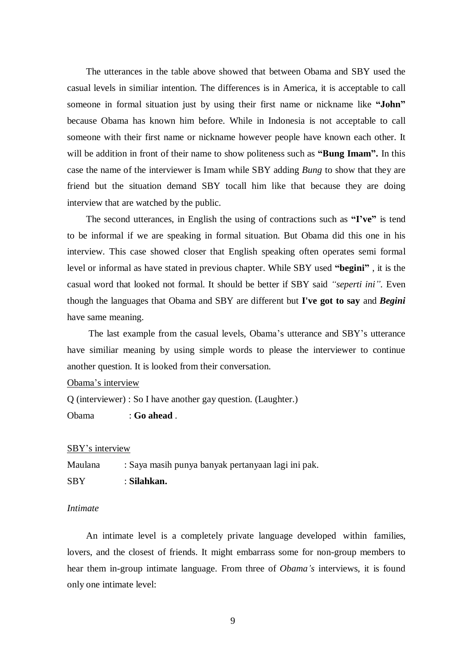The utterances in the table above showed that between Obama and SBY used the casual levels in similiar intention. The differences is in America, it is acceptable to call someone in formal situation just by using their first name or nickname like **"John"**  because Obama has known him before. While in Indonesia is not acceptable to call someone with their first name or nickname however people have known each other. It will be addition in front of their name to show politeness such as **"Bung Imam".** In this case the name of the interviewer is Imam while SBY adding *Bung* to show that they are friend but the situation demand SBY tocall him like that because they are doing interview that are watched by the public.

The second utterances, in English the using of contractions such as **"I've"** is tend to be informal if we are speaking in formal situation. But Obama did this one in his interview. This case showed closer that English speaking often operates semi formal level or informal as have stated in previous chapter. While SBY used **"begini"** , it is the casual word that looked not formal. It should be better if SBY said *"seperti ini".* Even though the languages that Obama and SBY are different but **I've got to say** and *Begini*  have same meaning.

The last example from the casual levels, Obama"s utterance and SBY"s utterance have similiar meaning by using simple words to please the interviewer to continue another question. It is looked from their conversation.

Obama"s interview

Q (interviewer) : So I have another gay question. (Laughter.)

Obama : **Go ahead** .

#### SBY"s interview

Maulana : Saya masih punya banyak pertanyaan lagi ini pak.

SBY : **Silahkan.**

#### *Intimate*

An intimate level is a completely private language developed within families, lovers, and the closest of friends. It might embarrass some for non-group members to hear them in-group intimate language. From three of *Obama's* interviews, it is found only one intimate level: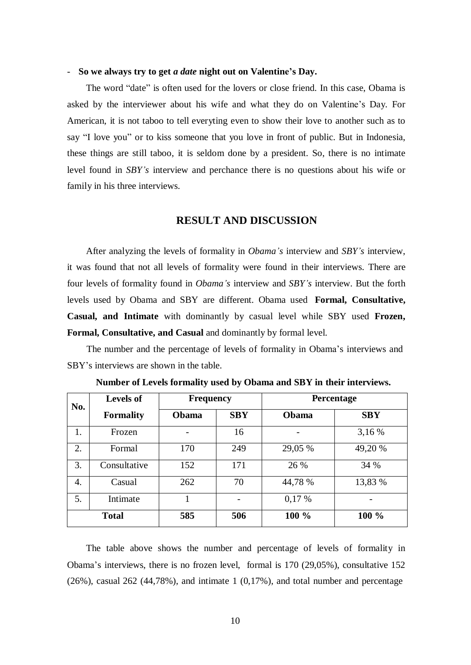#### - **So we always try to get** *a date* **night out on Valentine's Day.**

The word "date" is often used for the lovers or close friend. In this case, Obama is asked by the interviewer about his wife and what they do on Valentine"s Day. For American, it is not taboo to tell everyting even to show their love to another such as to say "I love you" or to kiss someone that you love in front of public. But in Indonesia, these things are still taboo, it is seldom done by a president. So, there is no intimate level found in *SBY's* interview and perchance there is no questions about his wife or family in his three interviews.

# **RESULT AND DISCUSSION**

After analyzing the levels of formality in *Obama's* interview and *SBY's* interview, it was found that not all levels of formality were found in their interviews. There are four levels of formality found in *Obama's* interview and *SBY's* interview. But the forth levels used by Obama and SBY are different. Obama used **Formal, Consultative, Casual, and Intimate** with dominantly by casual level while SBY used **Frozen, Formal, Consultative, and Casual** and dominantly by formal level.

The number and the percentage of levels of formality in Obama's interviews and SBY"s interviews are shown in the table.

| No.          | <b>Levels of</b> | <b>Frequency</b> |            | <b>Percentage</b> |            |
|--------------|------------------|------------------|------------|-------------------|------------|
|              | <b>Formality</b> | Obama            | <b>SBY</b> | Obama             | <b>SBY</b> |
| 1.           | Frozen           |                  | 16         |                   | 3,16 %     |
| 2.           | Formal           | 170              | 249        | 29,05 %           | 49,20 %    |
| 3.           | Consultative     | 152              | 171        | 26 %              | 34 %       |
| 4.           | Casual           | 262              | 70         | 44,78 %           | 13,83 %    |
| 5.           | Intimate         |                  |            | 0,17%             |            |
| <b>Total</b> |                  | 585              | 506        | 100 %             | 100 %      |

**Number of Levels formality used by Obama and SBY in their interviews.**

The table above shows the number and percentage of levels of formality in Obama"s interviews, there is no frozen level, formal is 170 (29,05%), consultative 152  $(26\%)$ , casual  $262$   $(44,78\%)$ , and intimate 1  $(0,17\%)$ , and total number and percentage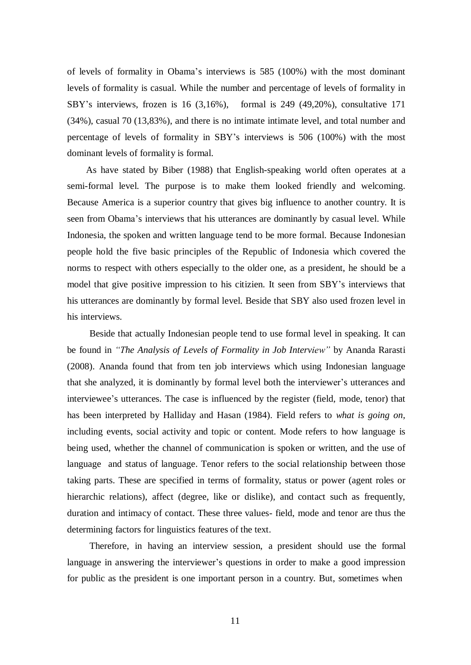of levels of formality in Obama"s interviews is 585 (100%) with the most dominant levels of formality is casual. While the number and percentage of levels of formality in SBY"s interviews, frozen is 16 (3,16%), formal is 249 (49,20%), consultative 171 (34%), casual 70 (13,83%), and there is no intimate intimate level, and total number and percentage of levels of formality in SBY"s interviews is 506 (100%) with the most dominant levels of formality is formal.

As have stated by Biber (1988) that English-speaking world often operates at a semi-formal level. The purpose is to make them looked friendly and welcoming. Because America is a superior country that gives big influence to another country. It is seen from Obama"s interviews that his utterances are dominantly by casual level. While Indonesia, the spoken and written language tend to be more formal. Because Indonesian people hold the five basic principles of the Republic of Indonesia which covered the norms to respect with others especially to the older one, as a president, he should be a model that give positive impression to his citizien. It seen from SBY"s interviews that his utterances are dominantly by formal level. Beside that SBY also used frozen level in his interviews.

Beside that actually Indonesian people tend to use formal level in speaking. It can be found in *"The Analysis of Levels of Formality in Job Interview"* by Ananda Rarasti (2008). Ananda found that from ten job interviews which using Indonesian language that she analyzed, it is dominantly by formal level both the interviewer"s utterances and interviewee's utterances. The case is influenced by the register (field, mode, tenor) that has been interpreted by Halliday and Hasan (1984). Field refers to *what is going on,*  including events, social activity and topic or content. Mode refers to how language is being used, whether the channel of communication is spoken or written, and the use of language and status of language. Tenor refers to the social relationship between those taking parts. These are specified in terms of formality, status or power (agent roles or hierarchic relations), affect (degree, like or dislike), and contact such as frequently, duration and intimacy of contact. These three values- field, mode and tenor are thus the determining factors for linguistics features of the text.

Therefore, in having an interview session, a president should use the formal language in answering the interviewer's questions in order to make a good impression for public as the president is one important person in a country. But, sometimes when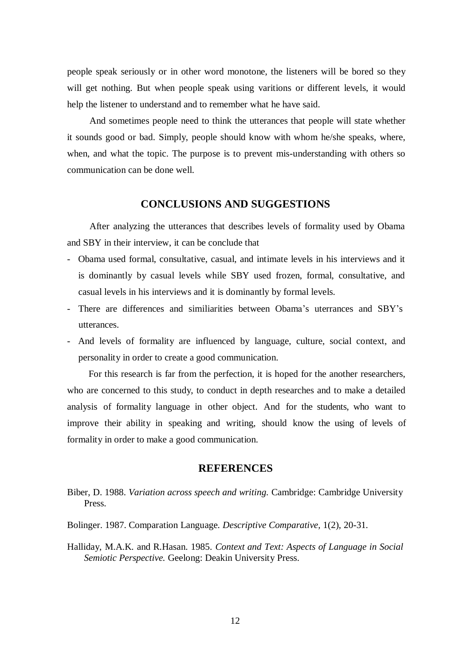people speak seriously or in other word monotone, the listeners will be bored so they will get nothing. But when people speak using varitions or different levels, it would help the listener to understand and to remember what he have said.

And sometimes people need to think the utterances that people will state whether it sounds good or bad. Simply, people should know with whom he/she speaks, where, when, and what the topic. The purpose is to prevent mis-understanding with others so communication can be done well.

# **CONCLUSIONS AND SUGGESTIONS**

After analyzing the utterances that describes levels of formality used by Obama and SBY in their interview, it can be conclude that

- Obama used formal, consultative, casual, and intimate levels in his interviews and it is dominantly by casual levels while SBY used frozen, formal, consultative, and casual levels in his interviews and it is dominantly by formal levels.
- There are differences and similiarities between Obama"s uterrances and SBY"s utterances.
- And levels of formality are influenced by language, culture, social context, and personality in order to create a good communication.

For this research is far from the perfection, it is hoped for the another researchers, who are concerned to this study, to conduct in depth researches and to make a detailed analysis of formality language in other object. And for the students, who want to improve their ability in speaking and writing, should know the using of levels of formality in order to make a good communication.

#### **REFERENCES**

- Biber, D. 1988. *Variation across speech and writing.* Cambridge: Cambridge University Press.
- Bolinger. 1987. Comparation Language*. Descriptive Comparative,* 1(2), 20-31.
- Halliday, M.A.K. and R.Hasan. 1985. *Context and Text: Aspects of Language in Social Semiotic Perspective.* Geelong: Deakin University Press.